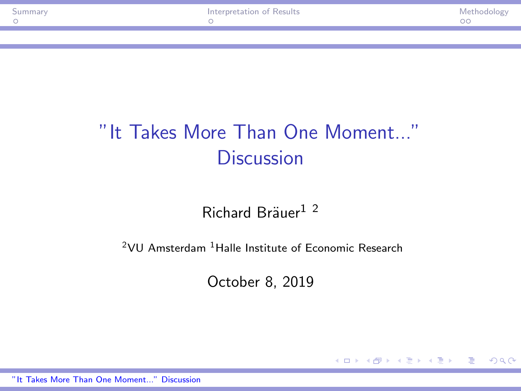KED KAP KED KED E VAR

# <span id="page-0-0"></span>"It Takes More Than One Moment..." **Discussion**

Richard Bräuer $12$ 

 $2$ VU Amsterdam  $1$ Halle Institute of Economic Research

October 8, 2019

["It Takes More Than One Moment..." Discussion](#page-4-0)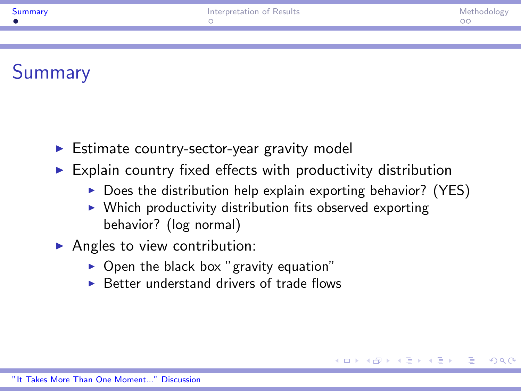# <span id="page-1-0"></span>**Summary**

- $\triangleright$  Estimate country-sector-year gravity model
- $\triangleright$  Explain country fixed effects with productivity distribution
	- $\triangleright$  Does the distribution help explain exporting behavior? (YES)

 $\Omega$ 

- $\triangleright$  Which productivity distribution fits observed exporting behavior? (log normal)
- $\blacktriangleright$  Angles to view contribution:
	- $\triangleright$  Open the black box "gravity equation"
	- $\triangleright$  Better understand drivers of trade flows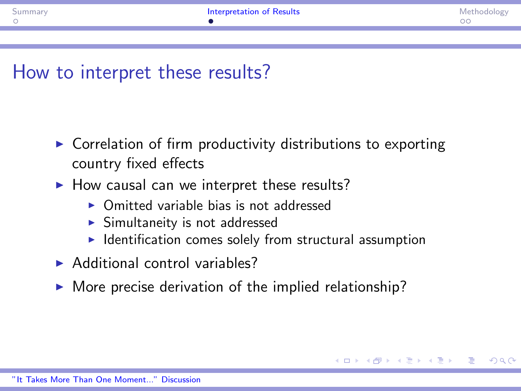$\Omega$ 

## <span id="page-2-0"></span>How to interpret these results?

- $\triangleright$  Correlation of firm productivity distributions to exporting country fixed effects
- $\blacktriangleright$  How causal can we interpret these results?
	- <sup>I</sup> Omitted variable bias is not addressed
	- $\blacktriangleright$  Simultaneity is not addressed
	- $\blacktriangleright$  Identification comes solely from structural assumption
- $\blacktriangleright$  Additional control variables?
- $\triangleright$  More precise derivation of the implied relationship?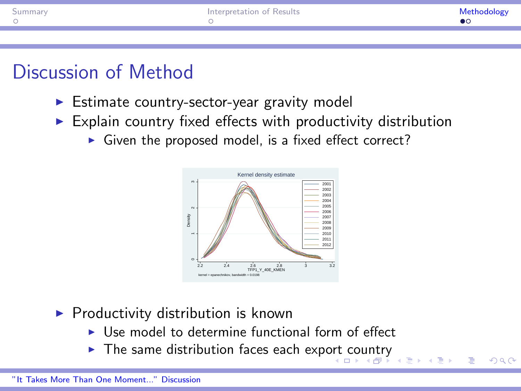<span id="page-3-0"></span>

| oumman | Interpretation of Results | Methodology |
|--------|---------------------------|-------------|
|        |                           |             |
|        |                           |             |

## Discussion of Method

- $\triangleright$  Estimate country-sector-year gravity model
- $\triangleright$  Explain country fixed effects with productivity distribution
	- $\triangleright$  Given the proposed model, is a fixed effect correct?



- $\blacktriangleright$  Productivity distribution is known
	- $\triangleright$  Use model to determine functional form of effect
	- $\triangleright$  The same distribution faces each exp[ort](#page-2-0) [co](#page-4-0)[u](#page-2-0)[ntr](#page-3-0)[y](#page-4-0)

 $\Omega$